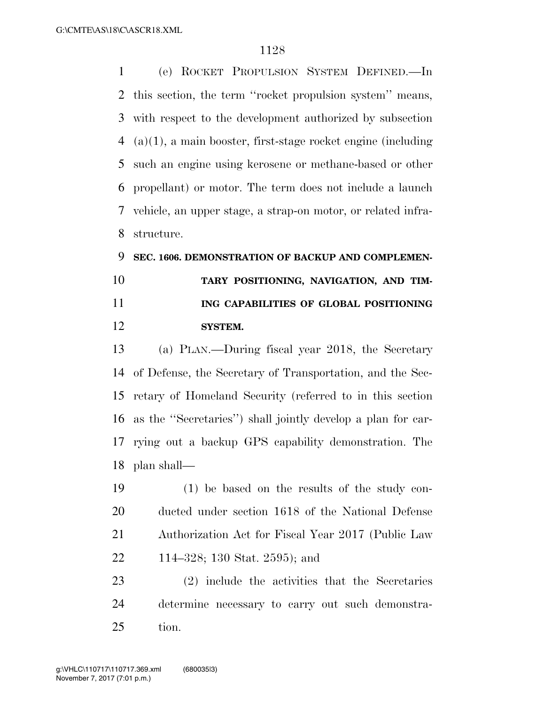(e) ROCKET PROPULSION SYSTEM DEFINED.—In this section, the term ''rocket propulsion system'' means, with respect to the development authorized by subsection (a)(1), a main booster, first-stage rocket engine (including such an engine using kerosene or methane-based or other propellant) or motor. The term does not include a launch vehicle, an upper stage, a strap-on motor, or related infra-structure.

## **SEC. 1606. DEMONSTRATION OF BACKUP AND COMPLEMEN- TARY POSITIONING, NAVIGATION, AND TIM- ING CAPABILITIES OF GLOBAL POSITIONING SYSTEM.**

 (a) PLAN.—During fiscal year 2018, the Secretary of Defense, the Secretary of Transportation, and the Sec- retary of Homeland Security (referred to in this section as the ''Secretaries'') shall jointly develop a plan for car- rying out a backup GPS capability demonstration. The plan shall—

 (1) be based on the results of the study con- ducted under section 1618 of the National Defense Authorization Act for Fiscal Year 2017 (Public Law 114–328; 130 Stat. 2595); and

 (2) include the activities that the Secretaries determine necessary to carry out such demonstra-tion.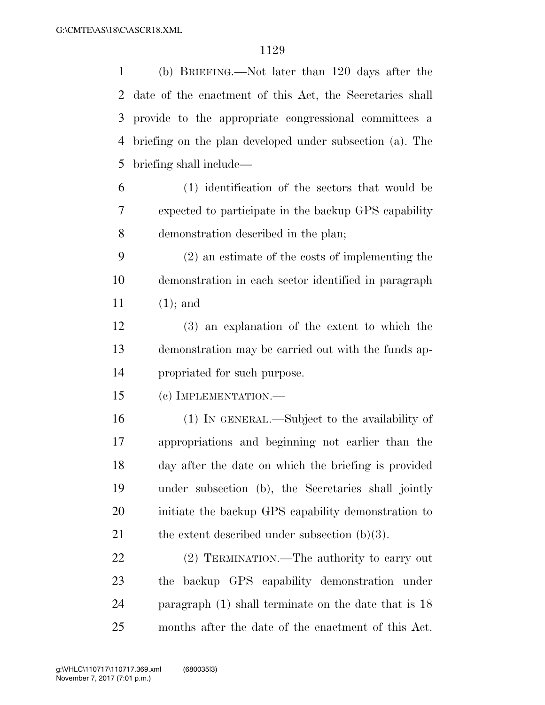| $\mathbf{1}$ | (b) BRIEFING.—Not later than 120 days after the          |
|--------------|----------------------------------------------------------|
| 2            | date of the enactment of this Act, the Secretaries shall |
| 3            | provide to the appropriate congressional committees a    |
| 4            | briefing on the plan developed under subsection (a). The |
| 5            | briefing shall include—                                  |
| 6            | (1) identification of the sectors that would be          |
| 7            | expected to participate in the backup GPS capability     |
| 8            | demonstration described in the plan;                     |
| 9            | $(2)$ an estimate of the costs of implementing the       |
| 10           | demonstration in each sector identified in paragraph     |
| 11           | $(1)$ ; and                                              |
| 12           | (3) an explanation of the extent to which the            |
| 13           | demonstration may be carried out with the funds ap-      |
| 14           | propriated for such purpose.                             |
| 15           | (c) IMPLEMENTATION.—                                     |
| 16           | (1) IN GENERAL.—Subject to the availability of           |
| 17           | appropriations and beginning not earlier than the        |
| 18           | day after the date on which the briefing is provided     |
| 19           | under subsection (b), the Secretaries shall jointly      |
| 20           | initiate the backup GPS capability demonstration to      |
| 21           | the extent described under subsection $(b)(3)$ .         |
| 22           | (2) TERMINATION.—The authority to carry out              |
| 23           | backup GPS capability demonstration under<br>the         |
| 24           | paragraph $(1)$ shall terminate on the date that is 18   |
| 25           | months after the date of the enactment of this Act.      |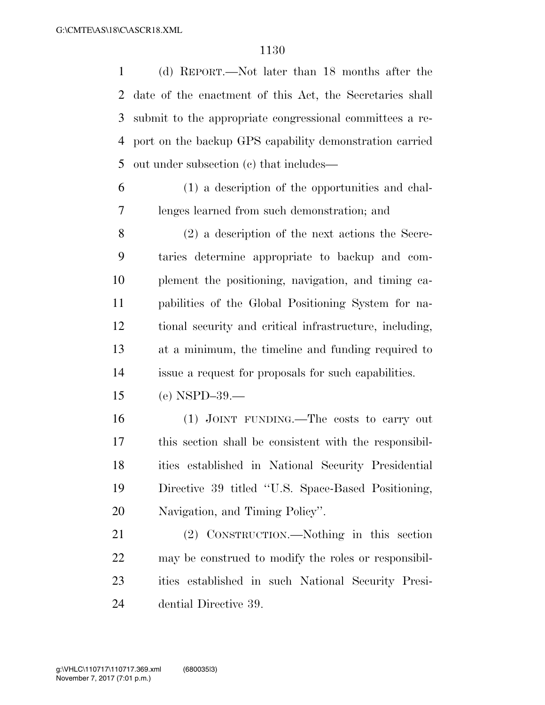(d) REPORT.—Not later than 18 months after the date of the enactment of this Act, the Secretaries shall submit to the appropriate congressional committees a re- port on the backup GPS capability demonstration carried out under subsection (c) that includes—

 (1) a description of the opportunities and chal-lenges learned from such demonstration; and

 (2) a description of the next actions the Secre- taries determine appropriate to backup and com- plement the positioning, navigation, and timing ca- pabilities of the Global Positioning System for na- tional security and critical infrastructure, including, at a minimum, the timeline and funding required to issue a request for proposals for such capabilities.

(e) NSPD–39.—

 (1) JOINT FUNDING.—The costs to carry out this section shall be consistent with the responsibil- ities established in National Security Presidential Directive 39 titled ''U.S. Space-Based Positioning, Navigation, and Timing Policy''.

 (2) CONSTRUCTION.—Nothing in this section may be construed to modify the roles or responsibil- ities established in such National Security Presi-dential Directive 39.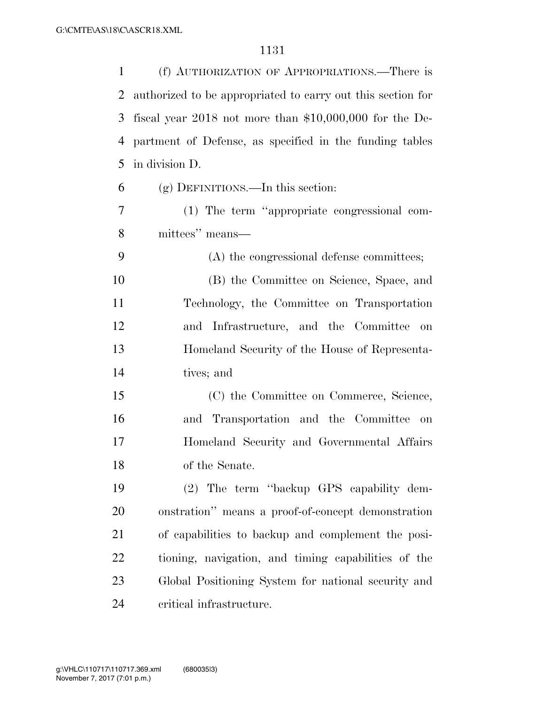| 1  | (f) AUTHORIZATION OF APPROPRIATIONS.—There is               |
|----|-------------------------------------------------------------|
| 2  | authorized to be appropriated to carry out this section for |
| 3  | fiscal year 2018 not more than $$10,000,000$ for the De-    |
| 4  | partment of Defense, as specified in the funding tables     |
| 5  | in division D.                                              |
| 6  | $(g)$ DEFINITIONS.—In this section:                         |
| 7  | (1) The term "appropriate congressional com-                |
| 8  | mittees" means—                                             |
| 9  | (A) the congressional defense committees;                   |
| 10 | (B) the Committee on Science, Space, and                    |
| 11 | Technology, the Committee on Transportation                 |
| 12 | and Infrastructure, and the Committee<br>on                 |
| 13 | Homeland Security of the House of Representa-               |
| 14 | tives; and                                                  |
| 15 | (C) the Committee on Commerce, Science,                     |
| 16 | and Transportation and the Committee<br>on                  |
| 17 | Homeland Security and Governmental Affairs                  |
| 18 | of the Senate.                                              |
| 19 | (2) The term "backup GPS capability dem-                    |
| 20 | onstration" means a proof-of-concept demonstration          |
| 21 | of capabilities to backup and complement the posi-          |
| 22 | tioning, navigation, and timing capabilities of the         |
| 23 | Global Positioning System for national security and         |
| 24 | critical infrastructure.                                    |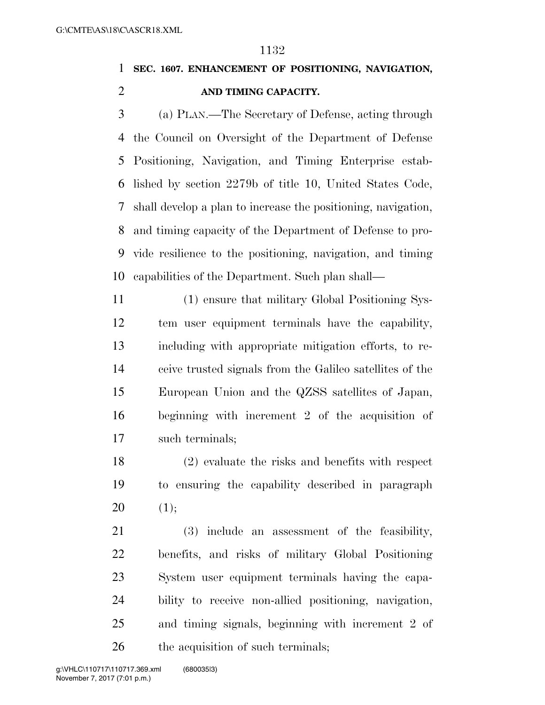## **SEC. 1607. ENHANCEMENT OF POSITIONING, NAVIGATION, AND TIMING CAPACITY.**

 (a) PLAN.—The Secretary of Defense, acting through the Council on Oversight of the Department of Defense Positioning, Navigation, and Timing Enterprise estab- lished by section 2279b of title 10, United States Code, shall develop a plan to increase the positioning, navigation, and timing capacity of the Department of Defense to pro- vide resilience to the positioning, navigation, and timing capabilities of the Department. Such plan shall—

 (1) ensure that military Global Positioning Sys- tem user equipment terminals have the capability, including with appropriate mitigation efforts, to re- ceive trusted signals from the Galileo satellites of the European Union and the QZSS satellites of Japan, beginning with increment 2 of the acquisition of such terminals;

 (2) evaluate the risks and benefits with respect to ensuring the capability described in paragraph 20  $(1);$ 

 (3) include an assessment of the feasibility, benefits, and risks of military Global Positioning System user equipment terminals having the capa- bility to receive non-allied positioning, navigation, and timing signals, beginning with increment 2 of 26 the acquisition of such terminals;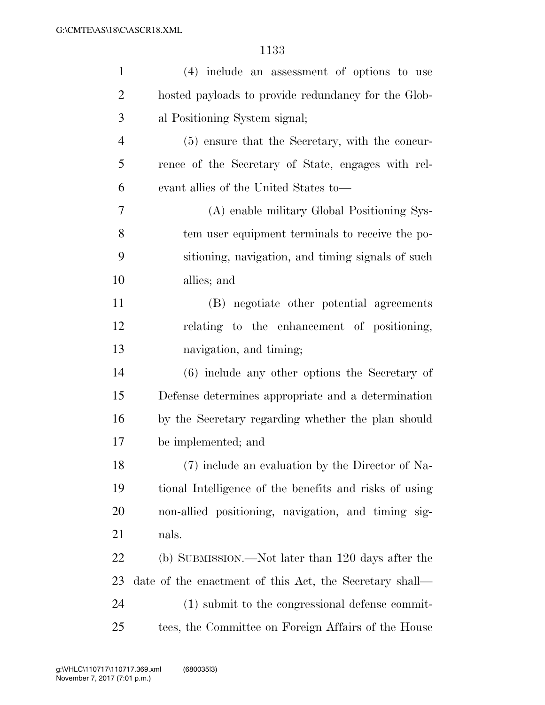| $\mathbf{1}$   | (4) include an assessment of options to use             |
|----------------|---------------------------------------------------------|
| $\overline{2}$ | hosted payloads to provide redundancy for the Glob-     |
| 3              | al Positioning System signal;                           |
| $\overline{4}$ | (5) ensure that the Secretary, with the concur-         |
| 5              | rence of the Secretary of State, engages with rel-      |
| 6              | evant allies of the United States to-                   |
| $\overline{7}$ | (A) enable military Global Positioning Sys-             |
| 8              | tem user equipment terminals to receive the po-         |
| 9              | sitioning, navigation, and timing signals of such       |
| 10             | allies; and                                             |
| 11             | (B) negotiate other potential agreements                |
| 12             | relating to the enhancement of positioning,             |
| 13             | navigation, and timing;                                 |
| 14             | $(6)$ include any other options the Secretary of        |
| 15             | Defense determines appropriate and a determination      |
| 16             | by the Secretary regarding whether the plan should      |
| 17             | be implemented; and                                     |
| 18             | (7) include an evaluation by the Director of Na-        |
| 19             | tional Intelligence of the benefits and risks of using  |
| <b>20</b>      | non-allied positioning, navigation, and timing sig-     |
| 21             | nals.                                                   |
| 22             | (b) SUBMISSION.—Not later than 120 days after the       |
| 23             | date of the enactment of this Act, the Secretary shall— |
| 24             | (1) submit to the congressional defense commit-         |
| 25             | tees, the Committee on Foreign Affairs of the House     |